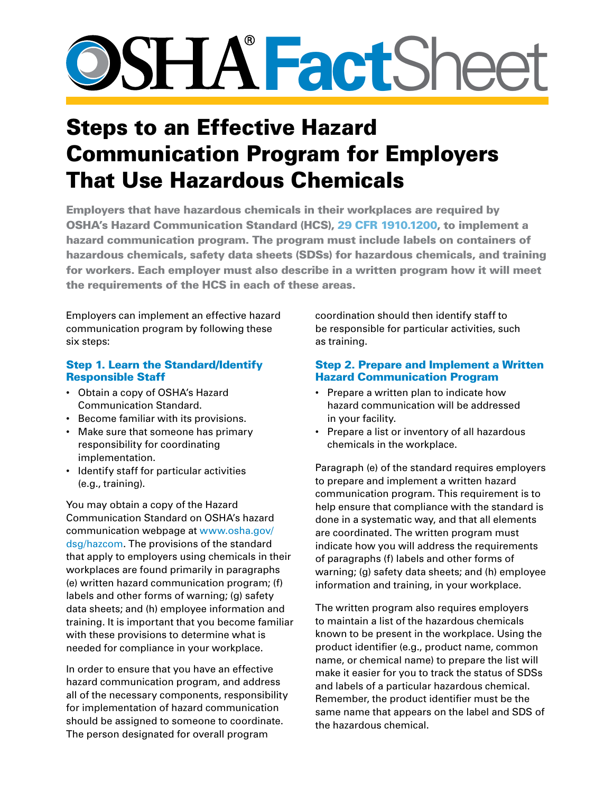# **Fact**Sheet

# Steps to an Effective Hazard Communication Program for Employers That Use Hazardous Chemicals

Employers that have hazardous chemicals in their workplaces are required by OSHA's Hazard Communication Standard (HCS), [29 CFR 1910.1200,](https://www.osha.gov/pls/oshaweb/owadisp.show_document?p_table=STANDARDS&p_id=10099) to implement a hazard communication program. The program must include labels on containers of hazardous chemicals, safety data sheets (SDSs) for hazardous chemicals, and training for workers. Each employer must also describe in a written program how it will meet the requirements of the HCS in each of these areas.

Employers can implement an effective hazard communication program by following these six steps:

# Step 1. Learn the Standard/Identify Responsible Staff

- Obtain a copy of OSHA's Hazard Communication Standard.
- • Become familiar with its provisions.
- Make sure that someone has primary responsibility for coordinating implementation.
- • Identify staff for particular activities (e.g., training).

You may obtain a copy of the Hazard Communication Standard on OSHA's hazard communication webpage at [www.osha.gov/](www.osha.gov/dsg/hazcom) [dsg/hazcom](www.osha.gov/dsg/hazcom). The provisions of the standard that apply to employers using chemicals in their workplaces are found primarily in paragraphs (e) written hazard communication program; (f) labels and other forms of warning; (g) safety data sheets; and (h) employee information and training. It is important that you become familiar with these provisions to determine what is needed for compliance in your workplace.

In order to ensure that you have an effective hazard communication program, and address all of the necessary components, responsibility for implementation of hazard communication should be assigned to someone to coordinate. The person designated for overall program

coordination should then identify staff to be responsible for particular activities, such as training.

# Step 2. Prepare and Implement a Written Hazard Communication Program

- • Prepare a written plan to indicate how hazard communication will be addressed in your facility.
- Prepare a list or inventory of all hazardous chemicals in the workplace.

Paragraph (e) of the standard requires employers to prepare and implement a written hazard communication program. This requirement is to help ensure that compliance with the standard is done in a systematic way, and that all elements are coordinated. The written program must indicate how you will address the requirements of paragraphs (f) labels and other forms of warning; (g) safety data sheets; and (h) employee information and training, in your workplace.

The written program also requires employers to maintain a list of the hazardous chemicals known to be present in the workplace. Using the product identifier (e.g., product name, common name, or chemical name) to prepare the list will make it easier for you to track the status of SDSs and labels of a particular hazardous chemical. Remember, the product identifier must be the same name that appears on the label and SDS of the hazardous chemical.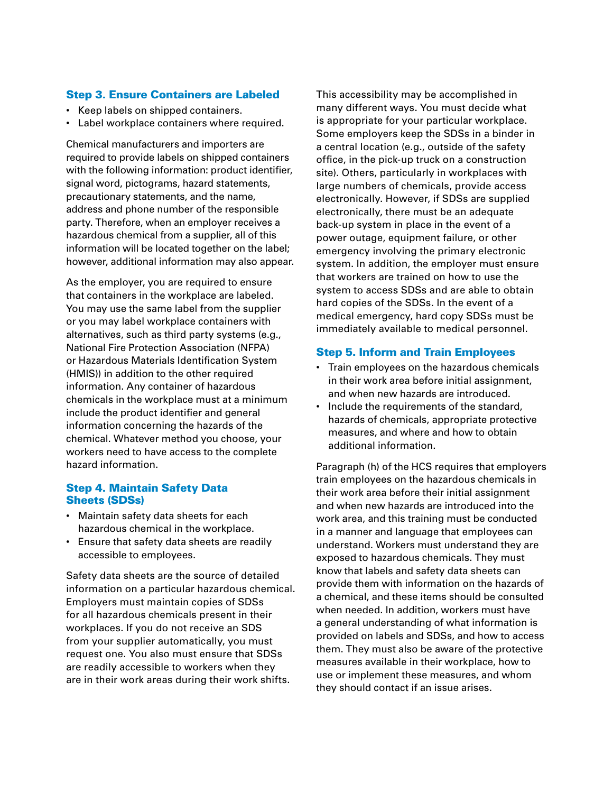#### Step 3. Ensure Containers are Labeled

- • Keep labels on shipped containers.
- Label workplace containers where required.

Chemical manufacturers and importers are required to provide labels on shipped containers with the following information: product identifier, signal word, pictograms, hazard statements, precautionary statements, and the name, address and phone number of the responsible party. Therefore, when an employer receives a hazardous chemical from a supplier, all of this information will be located together on the label; however, additional information may also appear.

As the employer, you are required to ensure that containers in the workplace are labeled. You may use the same label from the supplier or you may label workplace containers with alternatives, such as third party systems (e.g., National Fire Protection Association (NFPA) or Hazardous Materials Identification System (HMIS)) in addition to the other required information. Any container of hazardous chemicals in the workplace must at a minimum include the product identifier and general information concerning the hazards of the chemical. Whatever method you choose, your workers need to have access to the complete hazard information.

#### Step 4. Maintain Safety Data Sheets (SDSs)

- Maintain safety data sheets for each hazardous chemical in the workplace.
- Ensure that safety data sheets are readily accessible to employees.

Safety data sheets are the source of detailed information on a particular hazardous chemical. Employers must maintain copies of SDSs for all hazardous chemicals present in their workplaces. If you do not receive an SDS from your supplier automatically, you must request one. You also must ensure that SDSs are readily accessible to workers when they are in their work areas during their work shifts.

This accessibility may be accomplished in many different ways. You must decide what is appropriate for your particular workplace. Some employers keep the SDSs in a binder in a central location (e.g., outside of the safety office, in the pick-up truck on a construction site). Others, particularly in workplaces with large numbers of chemicals, provide access electronically. However, if SDSs are supplied electronically, there must be an adequate back-up system in place in the event of a power outage, equipment failure, or other emergency involving the primary electronic system. In addition, the employer must ensure that workers are trained on how to use the system to access SDSs and are able to obtain hard copies of the SDSs. In the event of a medical emergency, hard copy SDSs must be immediately available to medical personnel.

#### Step 5. Inform and Train Employees

- • Train employees on the hazardous chemicals in their work area before initial assignment, and when new hazards are introduced.
- • Include the requirements of the standard, hazards of chemicals, appropriate protective measures, and where and how to obtain additional information.

Paragraph (h) of the HCS requires that employers train employees on the hazardous chemicals in their work area before their initial assignment and when new hazards are introduced into the work area, and this training must be conducted in a manner and language that employees can understand. Workers must understand they are exposed to hazardous chemicals. They must know that labels and safety data sheets can provide them with information on the hazards of a chemical, and these items should be consulted when needed. In addition, workers must have a general understanding of what information is provided on labels and SDSs, and how to access them. They must also be aware of the protective measures available in their workplace, how to use or implement these measures, and whom they should contact if an issue arises.